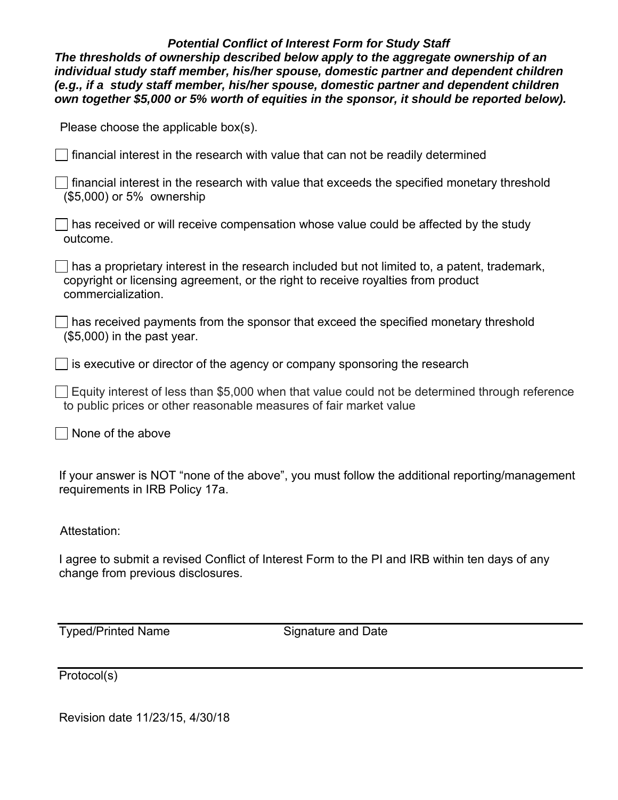## *Potential Conflict of Interest Form for Study Staff*

*The thresholds of ownership described below apply to the aggregate ownership of an individual study staff member, his/her spouse, domestic partner and dependent children (e.g., if a study staff member, his/her spouse, domestic partner and dependent children own together \$5,000 or 5% worth of equities in the sponsor, it should be reported below).* 

Please choose the applicable box(s).

 $\Box$  financial interest in the research with value that can not be readily determined

 financial interest in the research with value that exceeds the specified monetary threshold (\$5,000) or 5% ownership

 $\Box$  has received or will receive compensation whose value could be affected by the study outcome.

 has a proprietary interest in the research included but not limited to, a patent, trademark, copyright or licensing agreement, or the right to receive royalties from product commercialization.

 has received payments from the sponsor that exceed the specified monetary threshold (\$5,000) in the past year.

 $\Box$  is executive or director of the agency or company sponsoring the research

 $\vert\,\,\vert$  Equity interest of less than \$5,000 when that value could not be determined through reference to public prices or other reasonable measures of fair market value

None of the above

If your answer is NOT "none of the above", you must follow the additional reporting/management requirements in IRB Policy 17a.

Attestation:

I agree to submit a revised Conflict of Interest Form to the PI and IRB within ten days of any change from previous disclosures.

Typed/Printed Name Signature and Date

Protocol(s)

Revision date 11/23/15, 4/30/18